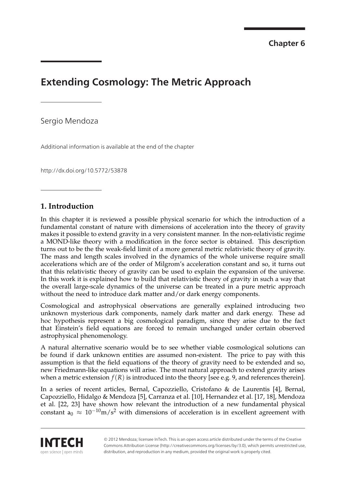**Provisional chapter**

# **Extending Cosmology: The Metric Approach**

**Extending Cosmology: The Metric Approach**

Sergio Mendoza

Additional information is available at the end of the chapter

http://dx.doi.org/10.5772/53878

# **1. Introduction**

In this chapter it is reviewed a possible physical scenario for which the introduction of a fundamental constant of nature with dimensions of acceleration into the theory of gravity makes it possible to extend gravity in a very consistent manner. In the non-relativistic regime a MOND-like theory with a modification in the force sector is obtained. This description turns out to be the the weak-field limit of a more general metric relativistic theory of gravity. The mass and length scales involved in the dynamics of the whole universe require small accelerations which are of the order of Milgrom's acceleration constant and so, it turns out that this relativistic theory of gravity can be used to explain the expansion of the universe. In this work it is explained how to build that relativistic theory of gravity in such a way that the overall large-scale dynamics of the universe can be treated in a pure metric approach without the need to introduce dark matter and/or dark energy components.

Cosmological and astrophysical observations are generally explained introducing two unknown mysterious dark components, namely dark matter and dark energy. These ad hoc hypothesis represent a big cosmological paradigm, since they arise due to the fact that Einstein's field equations are forced to remain unchanged under certain observed astrophysical phenomenology.

A natural alternative scenario would be to see whether viable cosmological solutions can be found if dark unknown entities are assumed non-existent. The price to pay with this assumption is that the field equations of the theory of gravity need to be extended and so, new Friedmann-like equations will arise. The most natural approach to extend gravity arises when a metric extension  $f(R)$  is introduced into the theory [see e.g. 9, and references therein].

In a series of recent articles, Bernal, Capozziello, Cristofano & de Laurentis [4], Bernal, Capozziello, Hidalgo & Mendoza [5], Carranza et al. [10], Hernandez et al. [17, 18], Mendoza et al. [22, 23] have shown how relevant the introduction of a new fundamental physical constant  $a_0 \approx 10^{-10}$ m/s<sup>2</sup> with dimensions of acceleration is in excellent agreement with



© 2012 Mendoza; licensee InTech. This is an open access article distributed under the terms of the Creative Commons Attribution License (http://creativecommons.org/licenses/by/3.0), which permits unrestricted use, distribution, and reproduction in any medium, provided the original work is properly cited.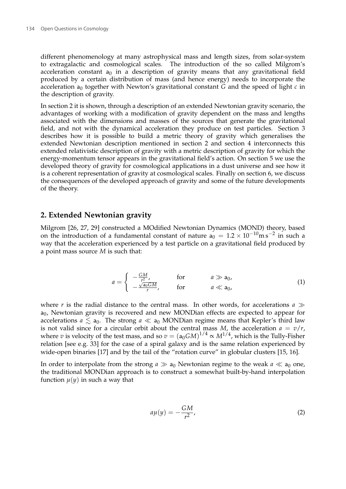different phenomenology at many astrophysical mass and length sizes, from solar-system to extragalactic and cosmological scales. The introduction of the so called Milgrom's acceleration constant  $a_0$  in a description of gravity means that any gravitational field produced by a certain distribution of mass (and hence energy) needs to incorporate the acceleration  $a_0$  together with Newton's gravitational constant *G* and the speed of light  $c$  in the description of gravity.

In section 2 it is shown, through a description of an extended Newtonian gravity scenario, the advantages of working with a modification of gravity dependent on the mass and lengths associated with the dimensions and masses of the sources that generate the gravitational field, and not with the dynamical acceleration they produce on test particles. Section 3 describes how it is possible to build a metric theory of gravity which generalises the extended Newtonian description mentioned in section 2 and section 4 interconnects this extended relativistic description of gravity with a metric description of gravity for which the energy-momentum tensor appears in the gravitational field's action. On section 5 we use the developed theory of gravity for cosmological applications in a dust universe and see how it is a coherent representation of gravity at cosmological scales. Finally on section 6, we discuss the consequences of the developed approach of gravity and some of the future developments of the theory.

### **2. Extended Newtonian gravity**

Milgrom [26, 27, 29] constructed a MOdified Newtonian Dynamics (MOND) theory, based on the introduction of a fundamental constant of nature  $a_0 = 1.2 \times 10^{-10} \text{m s}^{-2}$  in such a way that the acceleration experienced by a test particle on a gravitational field produced by a point mass source *M* is such that:

$$
a = \begin{cases} -\frac{GM}{r^2} & \text{for} & a \gg a_0, \\ -\frac{\sqrt{a_0 GM}}{r}, & \text{for} & a \ll a_0, \end{cases}
$$
(1)

where *r* is the radial distance to the central mass. In other words, for accelerations  $a \gg a$ a<sub>0</sub>, Newtonian gravity is recovered and new MONDian effects are expected to appear for accelerations  $a \le a_0$ . The strong  $a \ll a_0$  MONDian regime means that Kepler's third law is not valid since for a circular orbit about the central mass *M*, the acceleration  $a = v/r$ , where  $v$  is velocity of the test mass, and so  $v = \left( \mathsf{a}_0 G M \right)^{1/4} \propto M^{1/4}$ , which is the Tully-Fisher relation [see e.g. 33] for the case of a spiral galaxy and is the same relation experienced by wide-open binaries [17] and by the tail of the "rotation curve" in globular clusters [15, 16].

In order to interpolate from the strong  $a \gg a_0$  Newtonian regime to the weak  $a \ll a_0$  one, the traditional MONDian approach is to construct a somewhat built-by-hand interpolation function  $\mu(y)$  in such a way that

$$
a\mu(y) = -\frac{GM}{r^2},\tag{2}
$$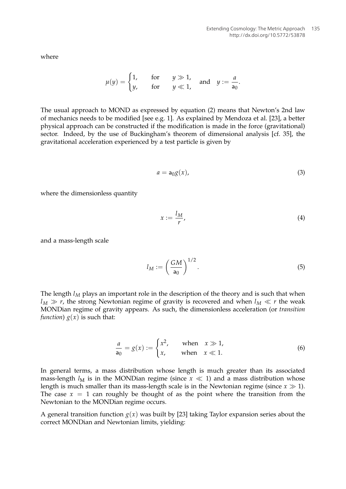where

$$
\mu(y) = \begin{cases} 1, & \text{for} \quad y \gg 1, \\ y, & \text{for} \quad y \ll 1, \end{cases} \quad \text{and} \quad y := \frac{a}{a_0}.
$$

The usual approach to MOND as expressed by equation (2) means that Newton's 2nd law of mechanics needs to be modified [see e.g. 1]. As explained by Mendoza et al. [23], a better physical approach can be constructed if the modification is made in the force (gravitational) sector. Indeed, by the use of Buckingham's theorem of dimensional analysis [cf. 35], the gravitational acceleration experienced by a test particle is given by

$$
a = \mathsf{a}_0 g(x),\tag{3}
$$

where the dimensionless quantity

$$
x := \frac{l_M}{r},\tag{4}
$$

and a mass-length scale

$$
l_M := \left(\frac{GM}{a_0}\right)^{1/2}.\tag{5}
$$

The length  $l_M$  plays an important role in the description of the theory and is such that when  $l_M \gg r$ , the strong Newtonian regime of gravity is recovered and when  $l_M \ll r$  the weak MONDian regime of gravity appears. As such, the dimensionless acceleration (or *transition function*)  $g(x)$  is such that:

$$
\frac{a}{a_0} = g(x) := \begin{cases} x^2, & \text{when } x \gg 1, \\ x, & \text{when } x \ll 1. \end{cases}
$$
 (6)

In general terms, a mass distribution whose length is much greater than its associated mass-length  $l_M$  is in the MONDian regime (since  $x \ll 1$ ) and a mass distribution whose length is much smaller than its mass-length scale is in the Newtonian regime (since  $x \gg 1$ ). The case  $x = 1$  can roughly be thought of as the point where the transition from the Newtonian to the MONDian regime occurs.

A general transition function  $g(x)$  was built by [23] taking Taylor expansion series about the correct MONDian and Newtonian limits, yielding: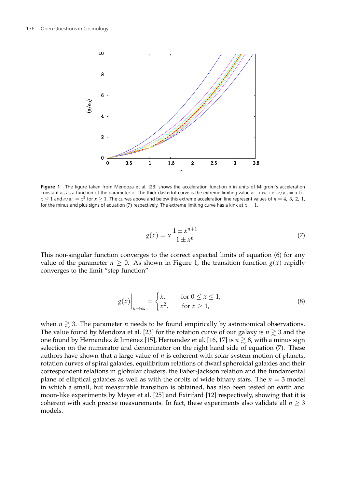

**Figure 1.** The figure taken from Mendoza et al. [23] shows the acceleration function *a* in units of Milgrom's acceleration constant  $a_0$  as a function of the parameter *x*. The thick dash-dot curve is the extreme limiting value  $n \to \infty$ , i.e.  $a/a_0 = x$  for  $x \le 1$  and  $a/a_0 = x^2$  for  $x \ge 1$ . The curves above and below this extreme acceleration line represent values of  $n = 4$ , 3, 2, 1, for the minus and plus signs of equation (7) respectively. The extreme limiting curve has a kink at  $x = 1$ .

$$
g(x) = x \frac{1 \pm x^{n+1}}{1 \pm x^n}.
$$
 (7)

This non-singular function converges to the correct expected limits of equation (6) for any value of the parameter  $n \geq 0$ . As shown in Figure 1, the transition function  $g(x)$  rapidly converges to the limit "step function"

$$
g(x)\Big|_{n\to\infty} = \begin{cases} x, & \text{for } 0 \le x \le 1, \\ x^2, & \text{for } x \ge 1, \end{cases}
$$
 (8)

when  $n \gtrsim 3$ . The parameter *n* needs to be found empirically by astronomical observations. The value found by Mendoza et al. [23] for the rotation curve of our galaxy is  $n \gtrsim 3$  and the one found by Hernandez & Jiménez [15], Hernandez et al. [16, 17] is  $n \ge 8$ , with a minus sign selection on the numerator and denominator on the right hand side of equation (7). These authors have shown that a large value of *n* is coherent with solar system motion of planets, rotation curves of spiral galaxies, equilibrium relations of dwarf spheroidal galaxies and their correspondent relations in globular clusters, the Faber-Jackson relation and the fundamental plane of elliptical galaxies as well as with the orbits of wide binary stars. The *n* = 3 model in which a small, but measurable transition is obtained, has also been tested on earth and moon-like experiments by Meyer et al. [25] and Exirifard [12] respectively, showing that it is coherent with such precise measurements. In fact, these experiments also validate all  $n \geq 3$ models.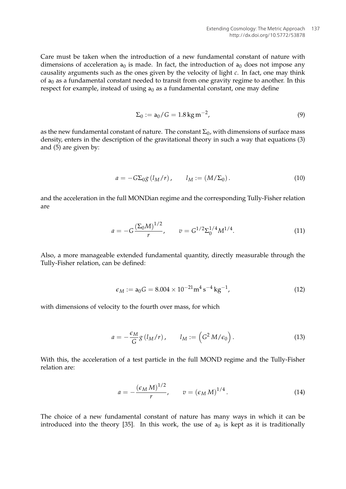Care must be taken when the introduction of a new fundamental constant of nature with dimensions of acceleration  $a_0$  is made. In fact, the introduction of  $a_0$  does not impose any causality arguments such as the ones given by the velocity of light *c*. In fact, one may think of  $a_0$  as a fundamental constant needed to transit from one gravity regime to another. In this respect for example, instead of using  $a_0$  as a fundamental constant, one may define

$$
\Sigma_0 := a_0 / G = 1.8 \,\text{kg} \,\text{m}^{-2},\tag{9}
$$

as the new fundamental constant of nature. The constant  $\Sigma_0$ , with dimensions of surface mass density, enters in the description of the gravitational theory in such a way that equations (3) and (5) are given by:

$$
a = -G\Sigma_{0}g(l_{M}/r), \qquad l_{M} := (M/\Sigma_{0}). \qquad (10)
$$

and the acceleration in the full MONDian regime and the corresponding Tully-Fisher relation are

$$
a = -G \frac{\left(\Sigma_0 M\right)^{1/2}}{r}, \qquad v = G^{1/2} \Sigma_0^{1/4} M^{1/4}.
$$
 (11)

Also, a more manageable extended fundamental quantity, directly measurable through the Tully-Fisher relation, can be defined:

$$
\epsilon_M := \mathsf{a}_0 G = 8.004 \times 10^{-21} \mathrm{m}^4 \mathrm{s}^{-4} \mathrm{kg}^{-1},\tag{12}
$$

with dimensions of velocity to the fourth over mass, for which

$$
a = -\frac{\epsilon_M}{G} g(l_M/r), \qquad l_M := \left(G^2 M/\epsilon_0\right).
$$
 (13)

With this, the acceleration of a test particle in the full MOND regime and the Tully-Fisher relation are:

$$
a = -\frac{\left(\epsilon_M M\right)^{1/2}}{r}, \qquad v = \left(\epsilon_M M\right)^{1/4}.
$$
 (14)

The choice of a new fundamental constant of nature has many ways in which it can be introduced into the theory [35]. In this work, the use of  $a_0$  is kept as it is traditionally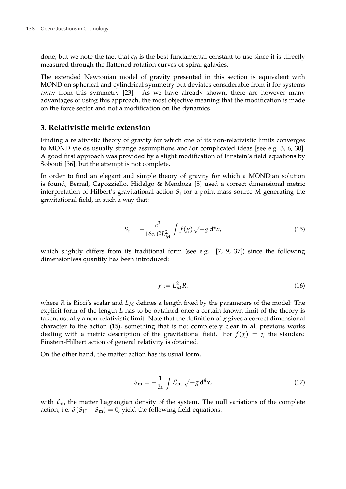done, but we note the fact that  $\epsilon_0$  is the best fundamental constant to use since it is directly measured through the flattened rotation curves of spiral galaxies.

The extended Newtonian model of gravity presented in this section is equivalent with MOND on spherical and cylindrical symmetry but deviates considerable from it for systems away from this symmetry [23]. As we have already shown, there are however many advantages of using this approach, the most objective meaning that the modification is made on the force sector and not a modification on the dynamics.

## **3. Relativistic metric extension**

Finding a relativistic theory of gravity for which one of its non-relativistic limits converges to MOND yields usually strange assumptions and/or complicated ideas [see e.g. 3, 6, 30]. A good first approach was provided by a slight modification of Einstein's field equations by Sobouti [36], but the attempt is not complete.

In order to find an elegant and simple theory of gravity for which a MONDian solution is found, Bernal, Capozziello, Hidalgo & Mendoza [5] used a correct dimensional metric interpretation of Hilbert's gravitational action  $S_{\mathrm{f}}$  for a point mass source M generating the gravitational field, in such a way that:

$$
S_{\rm f} = -\frac{c^3}{16\pi G L_M^2} \int f(\chi) \sqrt{-g} \, \mathrm{d}^4 x,\tag{15}
$$

which slightly differs from its traditional form (see e.g.  $[7, 9, 37]$ ) since the following dimensionless quantity has been introduced:

$$
\chi := L_M^2 R,\tag{16}
$$

where *R* is Ricci's scalar and *L<sup>M</sup>* defines a length fixed by the parameters of the model: The explicit form of the length *L* has to be obtained once a certain known limit of the theory is taken, usually a non-relativistic limit. Note that the definition of  $\chi$  gives a correct dimensional character to the action (15), something that is not completely clear in all previous works dealing with a metric description of the gravitational field. For  $f(\chi) = \chi$  the standard Einstein-Hilbert action of general relativity is obtained.

On the other hand, the matter action has its usual form,

$$
S_{\rm m} = -\frac{1}{2c} \int \mathcal{L}_{\rm m} \sqrt{-g} \, \mathrm{d}^4 x,\tag{17}
$$

with  $\mathcal{L}_{\text{m}}$  the matter Lagrangian density of the system. The null variations of the complete action, i.e.  $\delta (S_H + S_m) = 0$ , yield the following field equations: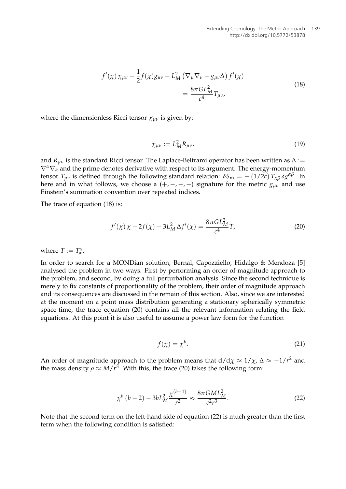$$
f'(\chi)\,\chi_{\mu\nu} - \frac{1}{2}f(\chi)g_{\mu\nu} - L_M^2\,\left(\nabla_\mu\nabla_\nu - g_{\mu\nu}\Delta\right)f'(\chi) \\
= \frac{8\pi G L_M^2}{c^4}T_{\mu\nu},
$$
\n(18)

where the dimensionless Ricci tensor  $\chi_{uv}$  is given by:

$$
\chi_{\mu\nu} := L_M^2 R_{\mu\nu},\tag{19}
$$

and  $R_{\mu\nu}$  is the standard Ricci tensor. The Laplace-Beltrami operator has been written as  $\Delta$  :=  $\nabla^{\alpha}\nabla_{\alpha}$  and the prime denotes derivative with respect to its argument. The energy-momentum tensor  $T_{\mu\nu}$  is defined through the following standard relation:  $\delta S_m = -(1/2c) T_{\alpha\beta} \delta g^{\alpha\beta}$ . In here and in what follows, we choose a  $(+,-,-,-)$  signature for the metric  $g_{\mu\nu}$  and use Einstein's summation convention over repeated indices.

The trace of equation (18) is:

$$
f'(\chi)\,\chi - 2f(\chi) + 3L_M^2\,\Delta f'(\chi) = \frac{8\pi G L_M^2}{c^4}T,\tag{20}
$$

where  $T := T^{\alpha}_{\alpha}$ .

In order to search for a MONDian solution, Bernal, Capozziello, Hidalgo & Mendoza [5] analysed the problem in two ways. First by performing an order of magnitude approach to the problem, and second, by doing a full perturbation analysis. Since the second technique is merely to fix constants of proportionality of the problem, their order of magnitude approach and its consequences are discussed in the remain of this section. Also, since we are interested at the moment on a point mass distribution generating a stationary spherically symmetric space-time, the trace equation (20) contains all the relevant information relating the field equations. At this point it is also useful to assume a power law form for the function

$$
f(\chi) = \chi^b. \tag{21}
$$

An order of magnitude approach to the problem means that  $d/d\chi \approx 1/\chi$ ,  $\Delta \approx -1/r^2$  and the mass density  $\rho \approx M/r^3$ . With this, the trace (20) takes the following form:

$$
\chi^b (b-2) - 3b L_M^2 \frac{\chi^{(b-1)}}{r^2} \approx \frac{8\pi G M L_M^2}{c^2 r^3}.
$$
 (22)

Note that the second term on the left-hand side of equation (22) is much greater than the first term when the following condition is satisfied: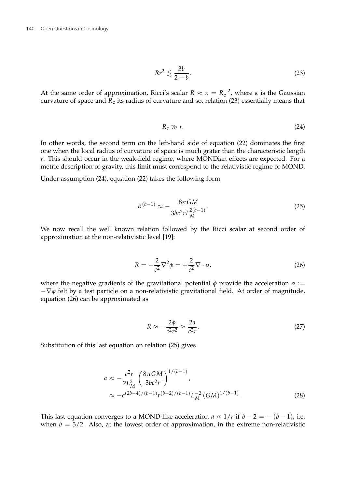$$
Rr^2 \lesssim \frac{3b}{2-b}.\tag{23}
$$

At the same order of approximation, Ricci's scalar  $R \approx \kappa = R_c^{-2}$ , where  $\kappa$  is the Gaussian curvature of space and  $R_c$  its radius of curvature and so, relation (23) essentially means that

$$
R_c \gg r. \tag{24}
$$

In other words, the second term on the left-hand side of equation (22) dominates the first one when the local radius of curvature of space is much grater than the characteristic length *r*. This should occur in the weak-field regime, where MONDian effects are expected. For a metric description of gravity, this limit must correspond to the relativistic regime of MOND.

Under assumption (24), equation (22) takes the following form:

$$
R^{(b-1)} \approx -\frac{8\pi GM}{3bc^2rL_M^{2(b-1)}}.\tag{25}
$$

We now recall the well known relation followed by the Ricci scalar at second order of approximation at the non-relativistic level [19]:

$$
R = -\frac{2}{c^2} \nabla^2 \phi = +\frac{2}{c^2} \nabla \cdot \mathbf{a},\tag{26}
$$

where the negative gradients of the gravitational potential  $\phi$  provide the acceleration  $\alpha :=$ −∇*φ* felt by a test particle on a non-relativistic gravitational field. At order of magnitude, equation (26) can be approximated as

$$
R \approx -\frac{2\phi}{c^2 r^2} \approx \frac{2a}{c^2 r}.
$$
 (27)

Substitution of this last equation on relation (25) gives

$$
a \approx -\frac{c^2 r}{2L_M^2} \left(\frac{8\pi GM}{3bc^2 r}\right)^{1/(b-1)},
$$
  
 
$$
\approx -c^{(2b-4)/(b-1)} r^{(b-2)/(b-1)} L_M^{-2} (GM)^{1/(b-1)}.
$$
 (28)

This last equation converges to a MOND-like acceleration  $a \propto 1/r$  if  $b - 2 = -(b - 1)$ , i.e. when  $b = 3/2$ . Also, at the lowest order of approximation, in the extreme non-relativistic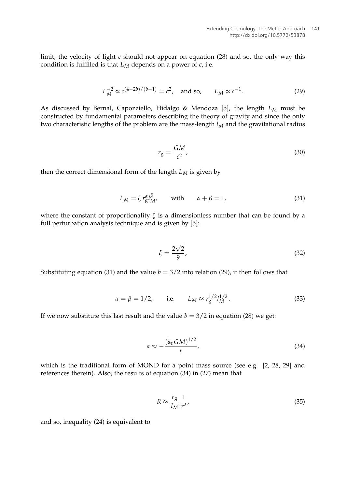limit, the velocity of light *c* should not appear on equation (28) and so, the only way this condition is fulfilled is that *L<sup>M</sup>* depends on a power of *c*, i.e.

$$
L_M^{-2} \propto c^{(4-2b)/(b-1)} = c^2, \text{ and so, } L_M \propto c^{-1}.
$$
 (29)

As discussed by Bernal, Capozziello, Hidalgo & Mendoza [5], the length *L<sup>M</sup>* must be constructed by fundamental parameters describing the theory of gravity and since the only two characteristic lengths of the problem are the mass-length *l<sup>M</sup>* and the gravitational radius

$$
r_{\rm g} = \frac{GM}{c^2},\tag{30}
$$

then the correct dimensional form of the length *L<sup>M</sup>* is given by

$$
L_M = \zeta r_g^{\alpha} l_M^{\beta} \qquad \text{with} \qquad \alpha + \beta = 1,
$$
 (31)

where the constant of proportionality *ζ* is a dimensionless number that can be found by a full perturbation analysis technique and is given by [5]:

$$
\zeta = \frac{2\sqrt{2}}{9},\tag{32}
$$

Substituting equation (31) and the value  $b = 3/2$  into relation (29), it then follows that

$$
\alpha = \beta = 1/2
$$
, i.e.  $L_M \approx r_g^{1/2} l_M^{1/2}$ . (33)

If we now substitute this last result and the value  $b = 3/2$  in equation (28) we get:

$$
a \approx -\frac{(\mathsf{a}_0 G M)^{1/2}}{r},\tag{34}
$$

which is the traditional form of MOND for a point mass source (see e.g. [2, 28, 29] and references therein). Also, the results of equation (34) in (27) mean that

$$
R \approx \frac{r_g}{l_M} \frac{1}{r^2},\tag{35}
$$

and so, inequality (24) is equivalent to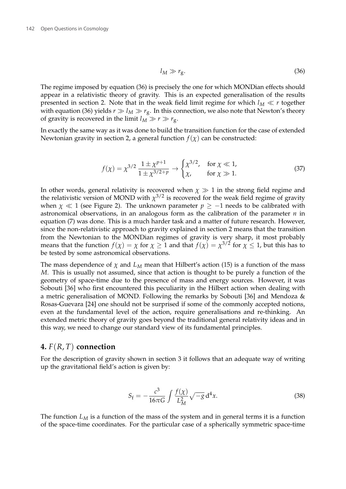$$
l_M \gg r_g. \tag{36}
$$

The regime imposed by equation (36) is precisely the one for which MONDian effects should appear in a relativistic theory of gravity. This is an expected generalisation of the results presented in section 2. Note that in the weak field limit regime for which  $l_M \ll r$  together with equation (36) yields  $r \gg l_M \gg r_g$ . In this connection, we also note that Newton's theory of gravity is recovered in the limit  $l_M \gg r \gg r_{\rm g}$ .

In exactly the same way as it was done to build the transition function for the case of extended Newtonian gravity in section 2, a general function  $f(\chi)$  can be constructed:

$$
f(\chi) = \chi^{3/2} \frac{1 \pm \chi^{p+1}}{1 \pm \chi^{3/2 + p}} \to \begin{cases} \chi^{3/2}, & \text{for } \chi \ll 1, \\ \chi, & \text{for } \chi \gg 1. \end{cases}
$$
 (37)

In other words, general relativity is recovered when  $\chi \gg 1$  in the strong field regime and the relativistic version of MOND with  $\chi^{3/2}$  is recovered for the weak field regime of gravity when  $\chi \ll 1$  (see Figure 2). The unknown parameter  $p \ge -1$  needs to be calibrated with astronomical observations, in an analogous form as the calibration of the parameter *n* in equation (7) was done. This is a much harder task and a matter of future research. However, since the non-relativistic approach to gravity explained in section 2 means that the transition from the Newtonian to the MONDian regimes of gravity is very sharp, it most probably means that the function  $f(\chi) = \chi$  for  $\chi \ge 1$  and that  $f(\chi) = \chi^{3/2}$  for  $\chi \le 1$ , but this has to be tested by some astronomical observations.

The mass dependence of  $\chi$  and  $L_M$  mean that Hilbert's action (15) is a function of the mass *M*. This is usually not assumed, since that action is thought to be purely a function of the geometry of space-time due to the presence of mass and energy sources. However, it was Sobouti [36] who first encountered this peculiarity in the Hilbert action when dealing with a metric generalisation of MOND. Following the remarks by Sobouti [36] and Mendoza & Rosas-Guevara [24] one should not be surprised if some of the commonly accepted notions, even at the fundamental level of the action, require generalisations and re-thinking. An extended metric theory of gravity goes beyond the traditional general relativity ideas and in this way, we need to change our standard view of its fundamental principles.

## **4.** *F*(*R*, *T*) **connection**

For the description of gravity shown in section 3 it follows that an adequate way of writing up the gravitational field's action is given by:

$$
S_{\rm f} = -\frac{c^3}{16\pi G} \int \frac{f(\chi)}{L_M^2} \sqrt{-g} \, \mathrm{d}^4 x. \tag{38}
$$

The function  $L_M$  is a function of the mass of the system and in general terms it is a function of the space-time coordinates. For the particular case of a spherically symmetric space-time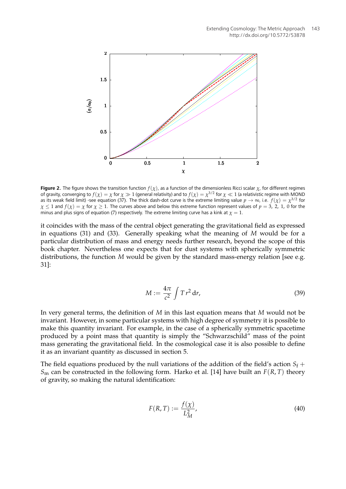

**Figure 2.** The figure shows the transition function  $f(\chi)$ , as a function of the dimensionless Ricci scalar  $\chi$ , for different regimes of gravity, converging to  $f(\chi)=\chi$  for  $\chi\gg1$  (general relativity) and to  $f(\chi)=\chi^{3/2}$  for  $\chi\ll1$  (a relativistic regime with MOND as its weak field limit) -see equation (37). The thick dash-dot curve is the extreme limiting value  $p\to\infty$ , i.e.  $f(\chi)=\chi^{3/2}$  for  $\chi \leq 1$  and  $f(\chi) = \chi$  for  $\chi \geq 1$ . The curves above and below this extreme function represent values of  $p = 3$ , 2, 1, 0 for the minus and plus signs of equation (7) respectively. The extreme limiting curve has a kink at  $\chi = 1$ .

it coincides with the mass of the central object generating the gravitational field as expressed in equations (31) and (33). Generally speaking what the meaning of *M* would be for a particular distribution of mass and energy needs further research, beyond the scope of this book chapter. Nevertheless one expects that for dust systems with spherically symmetric distributions, the function *M* would be given by the standard mass-energy relation [see e.g. 31]:

$$
M := \frac{4\pi}{c^2} \int T r^2 dr,
$$
\n(39)

In very general terms, the definition of *M* in this last equation means that *M* would not be invariant. However, in some particular systems with high degree of symmetry it is possible to make this quantity invariant. For example, in the case of a spherically symmetric spacetime produced by a point mass that quantity is simply the "Schwarzschild" mass of the point mass generating the gravitational field. In the cosmological case it is also possible to define it as an invariant quantity as discussed in section 5.

The field equations produced by the null variations of the addition of the field's action  $S_f$  +  $S<sub>m</sub>$  can be constructed in the following form. Harko et al. [14] have built an  $F(R, T)$  theory of gravity, so making the natural identification:

$$
F(R,T) := \frac{f(\chi)}{L_M^2},\tag{40}
$$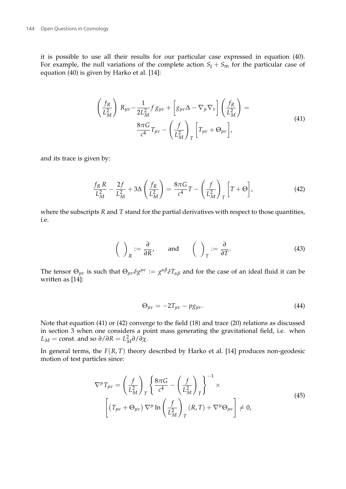it is possible to use all their results for our particular case expressed in equation (40). For example, the null variations of the complete action  $S_f + S_m$  for the particular case of equation (40) is given by Harko et al. [14]:

$$
\left(\frac{f_R}{L_M^2}\right) R_{\mu\nu} - \frac{1}{2L_M^2} f g_{\mu\nu} + \left[g_{\mu\nu}\Delta - \nabla_\mu \nabla_\nu\right] \left(\frac{f_R}{L_M^2}\right) =
$$
\n
$$
\frac{8\pi G}{c^4} T_{\mu\nu} - \left(\frac{f}{L_M^2}\right)_T \left[T_{\mu\nu} + \Theta_{\mu\nu}\right],
$$
\n(41)

and its trace is given by:

$$
\frac{f_R R}{L_M^2} - \frac{2f}{L_M^2} + 3\Delta \left(\frac{f_R}{L_M^2}\right) = \frac{8\pi G}{c^4}T - \left(\frac{f}{L_M^2}\right)_T \left[T + \Theta\right],\tag{42}
$$

where the subscripts *R* and *T* stand for the partial derivatives with respect to those quantities, i.e.

$$
\left(\begin{array}{c}\right)_R := \frac{\partial}{\partial R}, \quad \text{and} \quad \left(\begin{array}{c}\right)_T := \frac{\partial}{\partial T}.\end{array}\right) \tag{43}
$$

The tensor  $\Theta_{\mu\nu}$  is such that  $\Theta_{\mu\nu}\delta g^{\mu\nu}:=g^{\alpha\beta}\delta T_{\alpha\beta}$  and for the case of an ideal fluid it can be written as [14]:

$$
\Theta_{\mu\nu} = -2T_{\mu\nu} - pg_{\mu\nu}.\tag{44}
$$

Note that equation (41) or (42) converge to the field (18) and trace (20) relations as discussed in section 3 when one considers a point mass generating the gravitational field, i.e. when *L*<sub>*M*</sub> = const. and so  $\partial/\partial R = L_M^2 \partial/\partial \chi$ .

In general terms, the *F*(*R*, *T*) theory described by Harko et al. [14] produces non-geodesic motion of test particles since:

$$
\nabla^{\mu}T_{\mu\nu} = \left(\frac{f}{L_M^2}\right)_T \left\{\frac{8\pi G}{c^4} - \left(\frac{f}{L_M^2}\right)_T\right\}^{-1} \times \left[\left(T_{\mu\nu} + \Theta_{\mu\nu}\right)\nabla^{\mu}\ln\left(\frac{f}{L_M^2}\right)_T (R, T) + \nabla^{\mu}\Theta_{\mu\nu}\right] \neq 0,
$$
\n(45)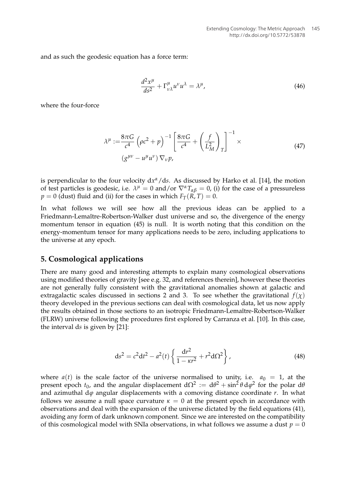and as such the geodesic equation has a force term:

$$
\frac{d^2x^{\mu}}{ds^2} + \Gamma^{\mu}_{\nu\lambda}u^{\nu}u^{\lambda} = \lambda^{\mu},\tag{46}
$$

where the four-force

$$
\lambda^{\mu} := \frac{8\pi G}{c^4} \left(\rho c^2 + p\right)^{-1} \left[\frac{8\pi G}{c^4} + \left(\frac{f}{L_M^2}\right)_T\right]^{-1} \times
$$
\n
$$
\left(g^{\mu\nu} - u^{\mu} u^{\nu}\right) \nabla_{\nu} p,\tag{47}
$$

is perpendicular to the four velocity dx<sup>a</sup>/ds. As discussed by Harko et al. [14], the motion of test particles is geodesic, i.e.  $\lambda^{\mu} = 0$  and/or  $\nabla^{\alpha} T_{\alpha\beta} = 0$ , (i) for the case of a pressureless  $p = 0$  (dust) fluid and (ii) for the cases in which  $F_T(R, T) = 0$ .

In what follows we will see how all the previous ideas can be applied to a Friedmann-Lemaître-Robertson-Walker dust universe and so, the divergence of the energy momentum tensor in equation (45) is null. It is worth noting that this condition on the energy-momentum tensor for many applications needs to be zero, including applications to the universe at any epoch.

### **5. Cosmological applications**

There are many good and interesting attempts to explain many cosmological observations using modified theories of gravity [see e.g. 32, and references therein], however these theories are not generally fully consistent with the gravitational anomalies shown at galactic and extragalactic scales discussed in sections 2 and 3. To see whether the gravitational  $f(\chi)$ theory developed in the previous sections can deal with cosmological data, let us now apply the results obtained in those sections to an isotropic Friedmann-Lemaître-Robertson-Walker (FLRW) universe following the procedures first explored by Carranza et al. [10]. In this case, the interval d*s* is given by [21]:

$$
ds^{2} = c^{2}dt^{2} - a^{2}(t)\left\{\frac{dr^{2}}{1 - \kappa r^{2}} + r^{2}d\Omega^{2}\right\},
$$
\n(48)

where  $a(t)$  is the scale factor of the universe normalised to unity, i.e.  $a_0 = 1$ , at the present epoch  $t_0$ , and the angular displacement  $dΩ^2 := dθ^2 + sin^2θ dφ^2$  for the polar  $dθ$ and azimuthal d*ϕ* angular displacements with a comoving distance coordinate *r*. In what follows we assume a null space curvature  $\kappa = 0$  at the present epoch in accordance with observations and deal with the expansion of the universe dictated by the field equations (41), avoiding any form of dark unknown component. Since we are interested on the compatibility of this cosmological model with SNIa observations, in what follows we assume a dust  $p = 0$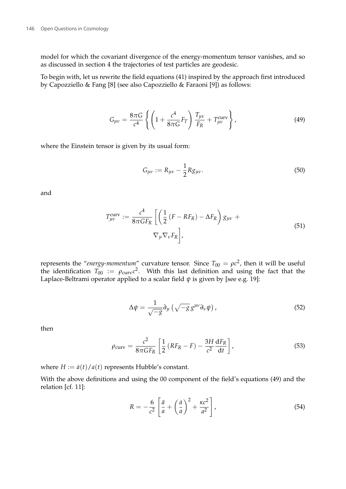model for which the covariant divergence of the energy-momentum tensor vanishes, and so as discussed in section 4 the trajectories of test particles are geodesic.

To begin with, let us rewrite the field equations (41) inspired by the approach first introduced by Capozziello & Fang [8] (see also Capozziello & Faraoni [9]) as follows:

$$
G_{\mu\nu} = \frac{8\pi G}{c^4} \left\{ \left( 1 + \frac{c^4}{8\pi G} F_T \right) \frac{T_{\mu\nu}}{F_R} + T_{\mu\nu}^{\text{curv}} \right\},
$$
(49)

where the Einstein tensor is given by its usual form:

$$
G_{\mu\nu} := R_{\mu\nu} - \frac{1}{2} R g_{\mu\nu}.
$$
\n(50)

and

$$
T_{\mu\nu}^{\text{curv}} := \frac{c^4}{8\pi G F_R} \left[ \left( \frac{1}{2} \left( F - RF_R \right) - \Delta F_R \right) g_{\mu\nu} + \nabla_{\mu} \nabla_{\nu} F_R \right],
$$
\n
$$
(51)
$$

represents the "*energy-momentum*" curvature tensor. Since  $T_{00} = \rho c^2$ , then it will be useful the identification  $T_{00} := \rho_{\text{curv}} c^2$ . With this last definition and using the fact that the Laplace-Beltrami operator applied to a scalar field  $\psi$  is given by [see e.g. 19]:

$$
\Delta \psi = \frac{1}{\sqrt{-g}} \partial_{\mu} \left( \sqrt{-g} \, g^{\mu \nu} \partial_{\nu} \psi \right), \tag{52}
$$

then

$$
\rho_{\text{curv}} = \frac{c^2}{8\pi G F_R} \left[ \frac{1}{2} \left( R F_R - F \right) - \frac{3H}{c^2} \frac{dF_R}{dt} \right],\tag{53}
$$

where  $H := \dot{a}(t)/a(t)$  represents Hubble's constant.

With the above definitions and using the 00 component of the field's equations (49) and the relation [cf. 11]:

$$
R = -\frac{6}{c^2} \left[ \frac{\ddot{a}}{a} + \left( \frac{\dot{a}}{a} \right)^2 + \frac{\kappa c^2}{a^2} \right],
$$
\n(54)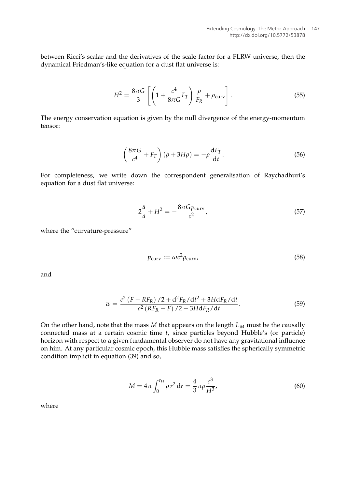between Ricci's scalar and the derivatives of the scale factor for a FLRW universe, then the dynamical Friedman's-like equation for a dust flat universe is:

$$
H^{2} = \frac{8\pi G}{3} \left[ \left( 1 + \frac{c^{4}}{8\pi G} F_{T} \right) \frac{\rho}{F_{R}} + \rho_{\text{curv}} \right].
$$
 (55)

The energy conservation equation is given by the null divergence of the energy-momentum tensor:

$$
\left(\frac{8\pi G}{c^4} + F_T\right)(\dot{\rho} + 3H\rho) = -\rho \frac{dF_T}{dt}.
$$
\n(56)

For completeness, we write down the correspondent generalisation of Raychadhuri's equation for a dust flat universe:

$$
2\frac{\ddot{a}}{a} + H^2 = -\frac{8\pi G p_{\text{curv}}}{c^2},\tag{57}
$$

where the "curvature-pressure"

$$
p_{\text{curv}} := \omega c^2 \rho_{\text{curv}},\tag{58}
$$

and

$$
w = \frac{c^2 (F - RF_R)/2 + d^2 F_R/dt^2 + 3H dF_R/dt}{c^2 (RF_R - F)/2 - 3H dF_R/dt}.
$$
 (59)

On the other hand, note that the mass  $M$  that appears on the length  $L_M$  must be the causally connected mass at a certain cosmic time *t*, since particles beyond Hubble's (or particle) horizon with respect to a given fundamental observer do not have any gravitational influence on him. At any particular cosmic epoch, this Hubble mass satisfies the spherically symmetric condition implicit in equation (39) and so,

$$
M = 4\pi \int_0^{r_{\rm H}} \rho \, r^2 \, \mathrm{d}r = \frac{4}{3} \pi \rho \frac{c^3}{H^3},\tag{60}
$$

where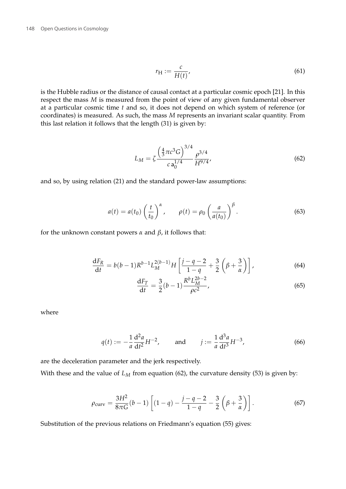$$
r_{\rm H} := \frac{c}{H(t)},\tag{61}
$$

is the Hubble radius or the distance of causal contact at a particular cosmic epoch [21]. In this respect the mass *M* is measured from the point of view of any given fundamental observer at a particular cosmic time *t* and so, it does not depend on which system of reference (or coordinates) is measured. As such, the mass *M* represents an invariant scalar quantity. From this last relation it follows that the length (31) is given by:

$$
L_M = \zeta \frac{\left(\frac{4}{3}\pi c^3 G\right)^{3/4}}{c \mathbf{a}_0^{1/4}} \frac{\rho^{3/4}}{H^{9/4}},\tag{62}
$$

and so, by using relation (21) and the standard power-law assumptions:

$$
a(t) = a(t_0) \left(\frac{t}{t_0}\right)^{\alpha}, \qquad \rho(t) = \rho_0 \left(\frac{a}{a(t_0)}\right)^{\beta}.
$$
 (63)

for the unknown constant powers *α* and *β*, it follows that:

$$
\frac{dF_R}{dt} = b(b-1)R^{b-1}L_M^{2(b-1)}H\left[\frac{j-q-2}{1-q} + \frac{3}{2}\left(\beta + \frac{3}{\alpha}\right)\right],
$$
\n(64)

$$
\frac{\mathrm{d}F_T}{\mathrm{d}t} = \frac{3}{2}(b-1)\frac{R^b L_M^{2b-2}}{\rho c^2},\tag{65}
$$

where

$$
q(t) := -\frac{1}{a} \frac{d^2 a}{dt^2} H^{-2}, \quad \text{and} \quad j := \frac{1}{a} \frac{d^3 a}{dt^3} H^{-3}, \tag{66}
$$

are the deceleration parameter and the jerk respectively. With these and the value of  $L_M$  from equation (62), the curvature density (53) is given by:

$$
\rho_{\text{curv}} = \frac{3H^2}{8\pi G}(b-1)\left[ (1-q) - \frac{j-q-2}{1-q} - \frac{3}{2}\left(\beta + \frac{3}{\alpha}\right) \right].
$$
 (67)

Substitution of the previous relations on Friedmann's equation (55) gives: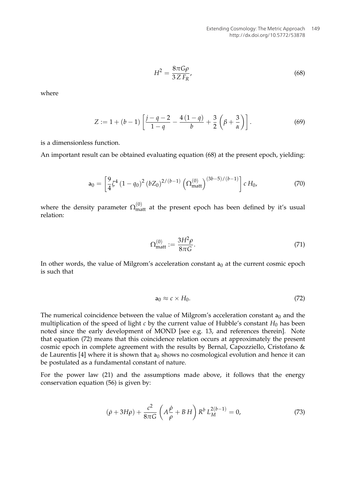$$
H^2 = \frac{8\pi G\rho}{3Z F_R},\tag{68}
$$

where

$$
Z := 1 + (b - 1) \left[ \frac{j - q - 2}{1 - q} - \frac{4(1 - q)}{b} + \frac{3}{2} \left( \beta + \frac{3}{\alpha} \right) \right].
$$
 (69)

is a dimensionless function.

An important result can be obtained evaluating equation (68) at the present epoch, yielding:

$$
\mathsf{a}_0 = \left[\frac{9}{4}\zeta^4 \left(1 - q_0\right)^2 \left(bZ_0\right)^{2/(b-1)} \left(\Omega_{\text{matt}}^{(0)}\right)^{(3b-5)/(b-1)}\right] c H_0,\tag{70}
$$

where the density parameter  $\Omega_{\rm matt}^{(0)}$  at the present epoch has been defined by it's usual relation:

$$
\Omega_{\text{matt}}^{(0)} := \frac{3H^2 \rho}{8\pi G}.
$$
\n(71)

In other words, the value of Milgrom's acceleration constant  $a_0$  at the current cosmic epoch is such that

$$
a_0 \approx c \times H_0. \tag{72}
$$

The numerical coincidence between the value of Milgrom's acceleration constant  $a_0$  and the multiplication of the speed of light  $c$  by the current value of Hubble's constant  $H_0$  has been noted since the early development of MOND [see e.g. 13, and references therein]. Note that equation (72) means that this coincidence relation occurs at approximately the present cosmic epoch in complete agreement with the results by Bernal, Capozziello, Cristofano & de Laurentis [4] where it is shown that  $a_0$  shows no cosmological evolution and hence it can be postulated as a fundamental constant of nature.

For the power law (21) and the assumptions made above, it follows that the energy conservation equation (56) is given by:

$$
(\dot{\rho} + 3H\rho) + \frac{c^2}{8\pi G} \left( A \frac{\dot{\rho}}{\rho} + B H \right) R^b L_M^{2(b-1)} = 0,
$$
 (73)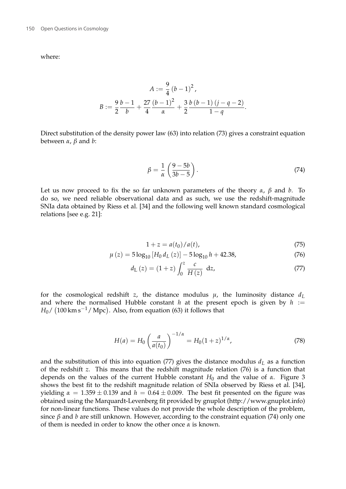where:

$$
A := \frac{9}{4} (b - 1)^2,
$$
  

$$
B := \frac{9}{2} \frac{b - 1}{b} + \frac{27}{4} \frac{(b - 1)^2}{\alpha} + \frac{3}{2} \frac{b (b - 1) (j - q - 2)}{1 - q}.
$$

Direct substitution of the density power law (63) into relation (73) gives a constraint equation between *α*, *β* and *b*:

$$
\beta = \frac{1}{\alpha} \left( \frac{9 - 5b}{3b - 5} \right). \tag{74}
$$

Let us now proceed to fix the so far unknown parameters of the theory  $\alpha$ ,  $\beta$  and  $b$ . To do so, we need reliable observational data and as such, we use the redshift-magnitude SNIa data obtained by Riess et al. [34] and the following well known standard cosmological relations [see e.g. 21]:

$$
1 + z = a(t_0) / a(t),
$$
 (75)

$$
\mu(z) = 5\log_{10}\left[H_0 d_L(z)\right] - 5\log_{10}h + 42.38,\tag{76}
$$

$$
d_{\rm L}(z) = (1+z) \int_0^z \frac{c}{H(z)} \, dz,
$$
\n(77)

for the cosmological redshift *z*, the distance modulus  $\mu$ , the luminosity distance  $d_L$ and where the normalised Hubble constant  $h$  at the present epoch is given by  $h :=$  $H_0$ / (100 km s<sup>-1</sup>/ Mpc). Also, from equation (63) it follows that

$$
H(a) = H_0 \left(\frac{a}{a(t_0)}\right)^{-1/\alpha} = H_0 (1+z)^{1/\alpha},\tag{78}
$$

and the substitution of this into equation (77) gives the distance modulus  $d_L$  as a function of the redshift *z*. This means that the redshift magnitude relation (76) is a function that depends on the values of the current Hubble constant *H*<sup>0</sup> and the value of *α*. Figure 3 shows the best fit to the redshift magnitude relation of SNIa observed by Riess et al. [34], yielding  $\alpha = 1.359 \pm 0.139$  and  $h = 0.64 \pm 0.009$ . The best fit presented on the figure was obtained using the Marquardt-Levenberg fit provided by gnuplot (http://www.gnuplot.info) for non-linear functions. These values do not provide the whole description of the problem, since *β* and *b* are still unknown. However, according to the constraint equation (74) only one of them is needed in order to know the other once *α* is known.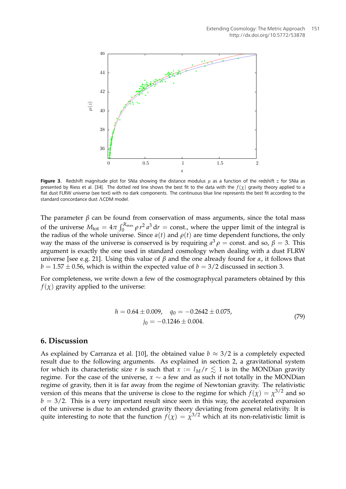

**Figure 3.** Redshift magnitude plot for SNIa showing the distance modulus *µ* as a function of the redshift *z* for SNIa as presented by Riess et al. [34]. The dotted red line shows the best fit to the data with the  $f(\chi)$  gravity theory applied to a flat dust FLRW universe (see text) with no dark components. The continuous blue line represents the best fit according to the standard concordance dust ΛCDM model.

The parameter  $\beta$  can be found from conservation of mass arguments, since the total mass of the universe  $M_{\text{tot}} = 4\pi \int_0^{R_{\text{max}}} \rho r^2 a^3 dr = \text{const.}$ , where the upper limit of the integral is the radius of the whole universe. Since  $a(t)$  and  $\rho(t)$  are time dependent functions, the only way the mass of the universe is conserved is by requiring  $a^3 \rho = \text{const.}$  and so,  $\beta = 3$ . This argument is exactly the one used in standard cosmology when dealing with a dust FLRW universe [see e.g. 21]. Using this value of  $\beta$  and the one already found for  $\alpha$ , it follows that  $b = 1.57 \pm 0.56$ , which is within the expected value of  $b = 3/2$  discussed in section 3.

For completeness, we write down a few of the cosmographycal parameters obtained by this  $f(x)$  gravity applied to the universe:

$$
h = 0.64 \pm 0.009, \quad q_0 = -0.2642 \pm 0.075,
$$

$$
j_0 = -0.1246 \pm 0.004.
$$
 (79)

#### **6. Discussion**

As explained by Carranza et al. [10], the obtained value  $b \approx 3/2$  is a completely expected result due to the following arguments. As explained in section 2, a gravitational system for which its characteristic size *r* is such that  $x := l_M/r \leq 1$  is in the MONDian gravity regime. For the case of the universe,  $x \sim a$  few and as such if not totally in the MONDian regime of gravity, then it is far away from the regime of Newtonian gravity. The relativistic version of this means that the universe is close to the regime for which  $f(\chi) = \chi^{3/2}$  and so  $b = 3/2$ . This is a very important result since seen in this way, the accelerated expansion of the universe is due to an extended gravity theory deviating from general relativity. It is quite interesting to note that the function  $f(\chi) = \chi^{3/2}$  which at its non-relativistic limit is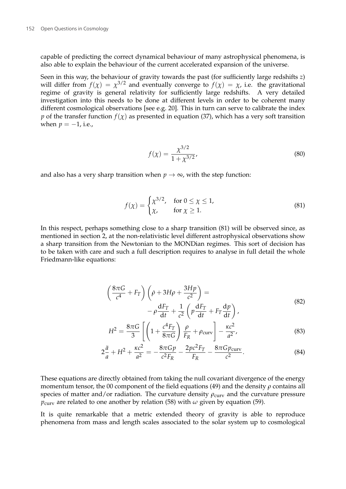capable of predicting the correct dynamical behaviour of many astrophysical phenomena, is also able to explain the behaviour of the current accelerated expansion of the universe.

Seen in this way, the behaviour of gravity towards the past (for sufficiently large redshifts *z*) will differ from  $f(\chi) = \chi^{3/2}$  and eventually converge to  $f(\chi) = \chi$ , i.e. the gravitational regime of gravity is general relativity for sufficiently large redshifts. A very detailed investigation into this needs to be done at different levels in order to be coherent many different cosmological observations [see e.g. 20]. This in turn can serve to calibrate the index *p* of the transfer function  $f(\chi)$  as presented in equation (37), which has a very soft transition when  $p = -1$ , i.e.,

$$
f(\chi) = \frac{\chi^{3/2}}{1 + \chi^{3/2}},
$$
\n(80)

and also has a very sharp transition when  $p \to \infty$ , with the step function:

$$
f(\chi) = \begin{cases} \chi^{3/2}, & \text{for } 0 \le \chi \le 1, \\ \chi, & \text{for } \chi \ge 1. \end{cases}
$$
 (81)

In this respect, perhaps something close to a sharp transition (81) will be observed since, as mentioned in section 2, at the non-relativistic level different astrophysical observations show a sharp transition from the Newtonian to the MONDian regimes. This sort of decision has to be taken with care and such a full description requires to analyse in full detail the whole Friedmann-like equations:

$$
\left(\frac{8\pi G}{c^4} + F_T\right) \left(\dot{\rho} + 3H\rho + \frac{3Hp}{c^2}\right) =
$$
\n
$$
-\rho \frac{dF_T}{dt} + \frac{1}{c^2} \left(p \frac{dF_T}{dt} + F_T \frac{dp}{dt}\right),
$$
\n(82)

$$
H^{2} = \frac{8\pi G}{3} \left[ \left( 1 + \frac{c^{4}F_{T}}{8\pi G} \right) \frac{\rho}{F_{R}} + \rho_{\text{curv}} \right] - \frac{\kappa c^{2}}{a^{2}},
$$
\n(83)

$$
2\frac{\ddot{a}}{a} + H^2 + \frac{\kappa c^2}{a^2} = -\frac{8\pi G p}{c^2 F_R} - \frac{2p c^2 F_T}{F_R} - \frac{8\pi G p_{\text{curv}}}{c^2}.
$$
 (84)

These equations are directly obtained from taking the null covariant divergence of the energy momentum tensor, the 00 component of the field equations (49) and the density *ρ* contains all species of matter and/or radiation. The curvature density  $\rho_{\text{curv}}$  and the curvature pressure  $p_{\text{curv}}$  are related to one another by relation (58) with  $\omega$  given by equation (59).

It is quite remarkable that a metric extended theory of gravity is able to reproduce phenomena from mass and length scales associated to the solar system up to cosmological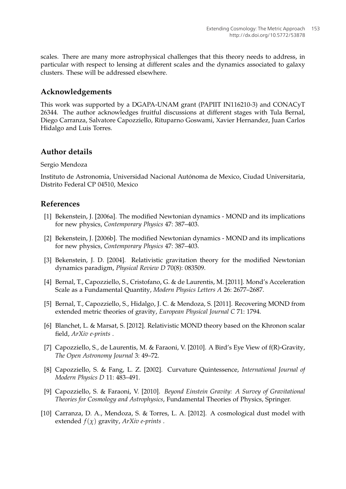scales. There are many more astrophysical challenges that this theory needs to address, in particular with respect to lensing at different scales and the dynamics associated to galaxy clusters. These will be addressed elsewhere.

# **Acknowledgements**

This work was supported by a DGAPA-UNAM grant (PAPIIT IN116210-3) and CONACyT 26344. The author acknowledges fruitful discussions at different stages with Tula Bernal, Diego Carranza, Salvatore Capozziello, Rituparno Goswami, Xavier Hernandez, Juan Carlos Hidalgo and Luis Torres.

# **Author details**

### Sergio Mendoza

Instituto de Astronomia, Universidad Nacional Autónoma de Mexico, Ciudad Universitaria, Distrito Federal CP 04510, Mexico

# **References**

- [1] Bekenstein, J. [2006a]. The modified Newtonian dynamics MOND and its implications for new physics, *Contemporary Physics* 47: 387–403.
- [2] Bekenstein, J. [2006b]. The modified Newtonian dynamics MOND and its implications for new physics, *Contemporary Physics* 47: 387–403.
- [3] Bekenstein, J. D. [2004]. Relativistic gravitation theory for the modified Newtonian dynamics paradigm, *Physical Review D* 70(8): 083509.
- [4] Bernal, T., Capozziello, S., Cristofano, G. & de Laurentis, M. [2011]. Mond's Acceleration Scale as a Fundamental Quantity, *Modern Physics Letters A* 26: 2677–2687.
- [5] Bernal, T., Capozziello, S., Hidalgo, J. C. & Mendoza, S. [2011]. Recovering MOND from extended metric theories of gravity, *European Physical Journal C* 71: 1794.
- [6] Blanchet, L. & Marsat, S. [2012]. Relativistic MOND theory based on the Khronon scalar field, *ArXiv e-prints* .
- [7] Capozziello, S., de Laurentis, M. & Faraoni, V. [2010]. A Bird's Eye View of f(R)-Gravity, *The Open Astronomy Journal* 3: 49–72.
- [8] Capozziello, S. & Fang, L. Z. [2002]. Curvature Quintessence, *International Journal of Modern Physics D* 11: 483–491.
- [9] Capozziello, S. & Faraoni, V. [2010]. *Beyond Einstein Gravity: A Survey of Gravitational Theories for Cosmology and Astrophysics*, Fundamental Theories of Physics, Springer.
- [10] Carranza, D. A., Mendoza, S. & Torres, L. A. [2012]. A cosmological dust model with extended  $f(\chi)$  gravity,  $ArXiv$  *e-prints* .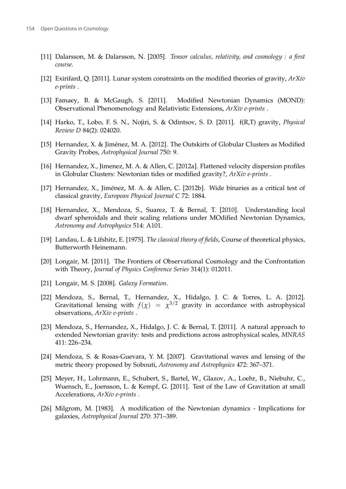- [11] Dalarsson, M. & Dalarsson, N. [2005]. *Tensor calculus, relativity, and cosmology : a first course*.
- [12] Exirifard, Q. [2011]. Lunar system constraints on the modified theories of gravity, *ArXiv e-prints* .
- [13] Famaey, B. & McGaugh, S. [2011]. Modified Newtonian Dynamics (MOND): Observational Phenomenology and Relativistic Extensions, *ArXiv e-prints* .
- [14] Harko, T., Lobo, F. S. N., Nojiri, S. & Odintsov, S. D. [2011]. f(R,T) gravity, *Physical Review D* 84(2): 024020.
- [15] Hernandez, X. & Jiménez, M. A. [2012]. The Outskirts of Globular Clusters as Modified Gravity Probes, *Astrophysical Journal* 750: 9.
- [16] Hernandez, X., Jimenez, M. A. & Allen, C. [2012a]. Flattened velocity dispersion profiles in Globular Clusters: Newtonian tides or modified gravity?, *ArXiv e-prints* .
- [17] Hernandez, X., Jiménez, M. A. & Allen, C. [2012b]. Wide binaries as a critical test of classical gravity, *European Physical Journal C* 72: 1884.
- [18] Hernandez, X., Mendoza, S., Suarez, T. & Bernal, T. [2010]. Understanding local dwarf spheroidals and their scaling relations under MOdified Newtonian Dynamics, *Astronomy and Astrophysics* 514: A101.
- [19] Landau, L. & Lifshitz, E. [1975]. *The classical theory of fields*, Course of theoretical physics, Butterworth Heinemann.
- [20] Longair, M. [2011]. The Frontiers of Observational Cosmology and the Confrontation with Theory, *Journal of Physics Conference Series* 314(1): 012011.
- [21] Longair, M. S. [2008]. *Galaxy Formation*.
- [22] Mendoza, S., Bernal, T., Hernandez, X., Hidalgo, J. C. & Torres, L. A. [2012]. Gravitational lensing with  $f(\chi) = \chi^{3/2}$  gravity in accordance with astrophysical observations, *ArXiv e-prints* .
- [23] Mendoza, S., Hernandez, X., Hidalgo, J. C. & Bernal, T. [2011]. A natural approach to extended Newtonian gravity: tests and predictions across astrophysical scales, *MNRAS* 411: 226–234.
- [24] Mendoza, S. & Rosas-Guevara, Y. M. [2007]. Gravitational waves and lensing of the metric theory proposed by Sobouti, *Astronomy and Astrophysics* 472: 367–371.
- [25] Meyer, H., Lohrmann, E., Schubert, S., Bartel, W., Glazov, A., Loehr, B., Niebuhr, C., Wuensch, E., Joensson, L. & Kempf, G. [2011]. Test of the Law of Gravitation at small Accelerations, *ArXiv e-prints* .
- [26] Milgrom, M. [1983]. A modification of the Newtonian dynamics Implications for galaxies, *Astrophysical Journal* 270: 371–389.